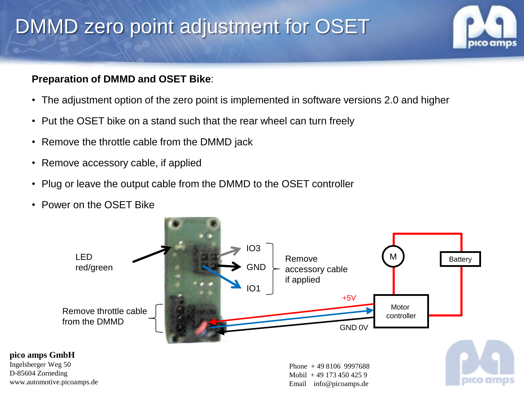## DMMD zero point adjustment for OSET

### **Preparation of DMMD and OSET Bike**:

- The adjustment option of the zero point is implemented in software versions 2.0 and higher
- Put the OSET bike on a stand such that the rear wheel can turn freely
- Remove the throttle cable from the DMMD jack
- Remove accessory cable, if applied
- Plug or leave the output cable from the DMMD to the OSET controller
- Power on the OSET Bike